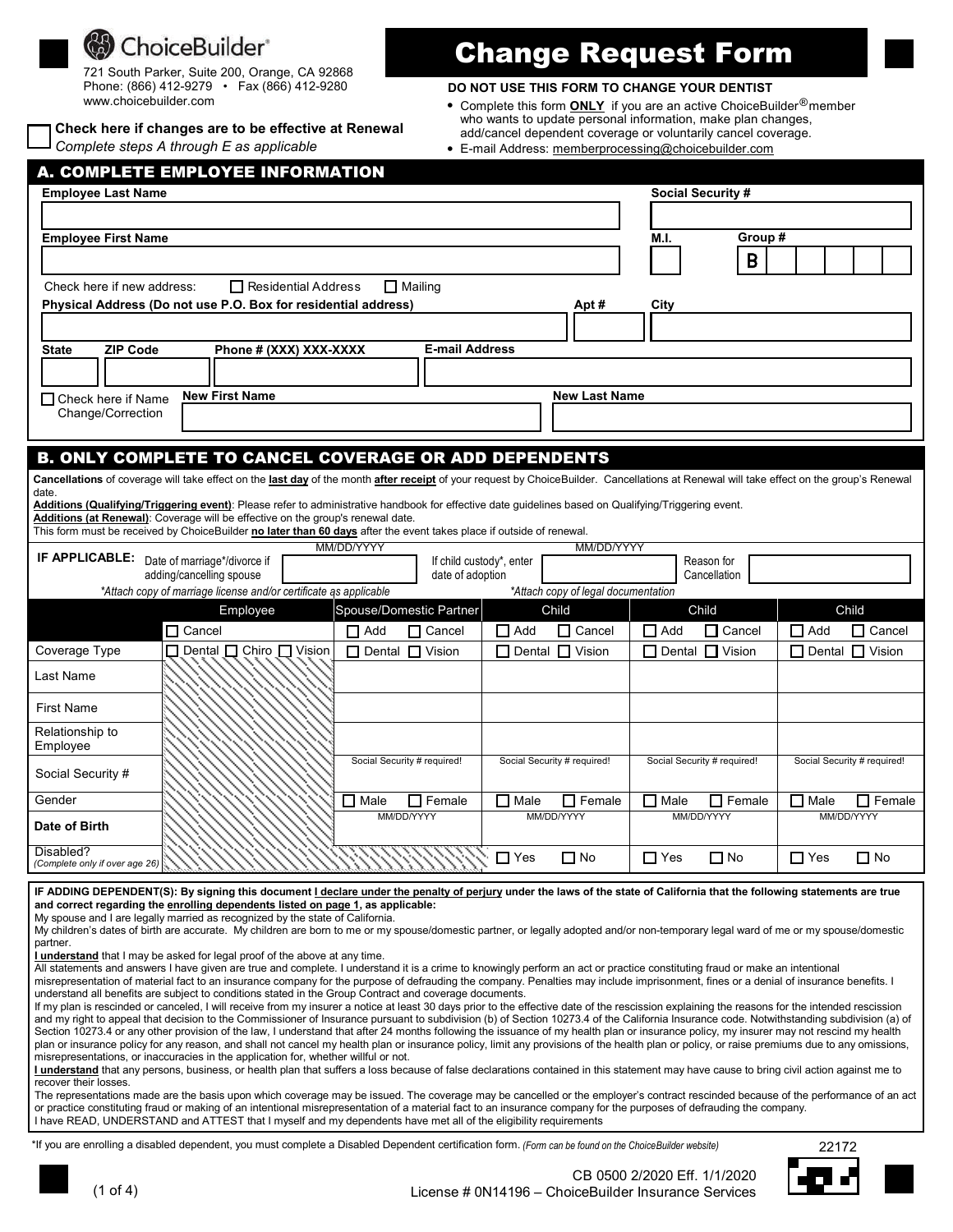# ChoiceBuilder<sup>®</sup>

721 South Parker, Suite 200, Orange, CA 92868 Phone: (866) 412-9279 • Fax (866) 412-9280 www.choicebuilder.com

*Complete steps A through E as applicable* **Check here if changes are to be effective at Renewal**

# Change Request Form

## **DO NOT USE THIS FORM TO CHANGE YOUR DENTIST**

- Complete this form **ONLY** if you are an active ChoiceBuilder®member add/cancel dependent coverage or voluntarily cancel coverage. who wants to update personal information, make plan changes,
- E-mail Address: memberprocessing@choicebuilder.com

| <b>A. COMPLETE EMPLOYEE INFORMATION</b>                                                                                                                                                                                                                                                                                                                                                     |                                                                                                                                                                                          |                             |                       |                             |                                     |             |                             |             |                             |  |
|---------------------------------------------------------------------------------------------------------------------------------------------------------------------------------------------------------------------------------------------------------------------------------------------------------------------------------------------------------------------------------------------|------------------------------------------------------------------------------------------------------------------------------------------------------------------------------------------|-----------------------------|-----------------------|-----------------------------|-------------------------------------|-------------|-----------------------------|-------------|-----------------------------|--|
| <b>Employee Last Name</b>                                                                                                                                                                                                                                                                                                                                                                   |                                                                                                                                                                                          |                             |                       |                             |                                     |             | <b>Social Security #</b>    |             |                             |  |
|                                                                                                                                                                                                                                                                                                                                                                                             |                                                                                                                                                                                          |                             |                       |                             |                                     |             |                             |             |                             |  |
| <b>Employee First Name</b>                                                                                                                                                                                                                                                                                                                                                                  |                                                                                                                                                                                          |                             |                       |                             |                                     |             |                             | Group #     |                             |  |
|                                                                                                                                                                                                                                                                                                                                                                                             |                                                                                                                                                                                          |                             |                       |                             |                                     |             | $\mathsf B$                 |             |                             |  |
| Residential Address<br>$\Box$ Mailing<br>Check here if new address:                                                                                                                                                                                                                                                                                                                         |                                                                                                                                                                                          |                             |                       |                             |                                     |             |                             |             |                             |  |
| Physical Address (Do not use P.O. Box for residential address)<br>City<br>Apt #                                                                                                                                                                                                                                                                                                             |                                                                                                                                                                                          |                             |                       |                             |                                     |             |                             |             |                             |  |
|                                                                                                                                                                                                                                                                                                                                                                                             |                                                                                                                                                                                          |                             |                       |                             |                                     |             |                             |             |                             |  |
| <b>ZIP Code</b><br>State                                                                                                                                                                                                                                                                                                                                                                    | Phone # (XXX) XXX-XXXX                                                                                                                                                                   |                             | <b>E-mail Address</b> |                             |                                     |             |                             |             |                             |  |
|                                                                                                                                                                                                                                                                                                                                                                                             |                                                                                                                                                                                          |                             |                       |                             |                                     |             |                             |             |                             |  |
| New First Name<br>New Last Name                                                                                                                                                                                                                                                                                                                                                             |                                                                                                                                                                                          |                             |                       |                             |                                     |             |                             |             |                             |  |
| $\Box$ Check here if Name<br>Change/Correction                                                                                                                                                                                                                                                                                                                                              |                                                                                                                                                                                          |                             |                       |                             |                                     |             |                             |             |                             |  |
|                                                                                                                                                                                                                                                                                                                                                                                             |                                                                                                                                                                                          |                             |                       |                             |                                     |             |                             |             |                             |  |
|                                                                                                                                                                                                                                                                                                                                                                                             | <b>B. ONLY COMPLETE TO CANCEL COVERAGE OR ADD DEPENDENTS</b>                                                                                                                             |                             |                       |                             |                                     |             |                             |             |                             |  |
|                                                                                                                                                                                                                                                                                                                                                                                             | Cancellations of coverage will take effect on the last day of the month after receipt of your request by ChoiceBuilder. Cancellations at Renewal will take effect on the group's Renewal |                             |                       |                             |                                     |             |                             |             |                             |  |
| date.                                                                                                                                                                                                                                                                                                                                                                                       | Additions (Qualifying/Triggering event): Please refer to administrative handbook for effective date guidelines based on Qualifying/Triggering event.                                     |                             |                       |                             |                                     |             |                             |             |                             |  |
|                                                                                                                                                                                                                                                                                                                                                                                             | Additions (at Renewal): Coverage will be effective on the group's renewal date.                                                                                                          |                             |                       |                             |                                     |             |                             |             |                             |  |
|                                                                                                                                                                                                                                                                                                                                                                                             | This form must be received by ChoiceBuilder no later than 60 days after the event takes place if outside of renewal.                                                                     | MM/DD/YYYY                  |                       |                             | MM/DD/YYYY                          |             |                             |             |                             |  |
| IF APPLICABLE: Date of marriage*/divorce if                                                                                                                                                                                                                                                                                                                                                 |                                                                                                                                                                                          |                             |                       | If child custody*, enter    |                                     |             | Reason for                  |             |                             |  |
|                                                                                                                                                                                                                                                                                                                                                                                             | adding/cancelling spouse<br>*Attach copy of marriage license and/or certificate as applicable                                                                                            |                             | date of adoption      |                             | *Attach copy of legal documentation |             | Cancellation                |             |                             |  |
|                                                                                                                                                                                                                                                                                                                                                                                             | Employee                                                                                                                                                                                 | Spouse/Domestic Partner     |                       | Child                       |                                     |             | Child                       |             | Child                       |  |
|                                                                                                                                                                                                                                                                                                                                                                                             | □ Cancel                                                                                                                                                                                 | $\Box$ Add                  | $\Box$ Cancel         | $\Box$ Add                  | $\Box$ Cancel                       | $\Box$ Add  | $\Box$ Cancel               | $\Box$ Add  | $\Box$ Cancel               |  |
| Coverage Type                                                                                                                                                                                                                                                                                                                                                                               | □ Dental □ Chiro □ Vision                                                                                                                                                                | □ Dental □ Vision           |                       | □ Dental □ Vision           |                                     |             | $\Box$ Dental $\Box$ Vision |             | $\Box$ Dental $\Box$ Vision |  |
| Last Name                                                                                                                                                                                                                                                                                                                                                                                   |                                                                                                                                                                                          |                             |                       |                             |                                     |             |                             |             |                             |  |
|                                                                                                                                                                                                                                                                                                                                                                                             |                                                                                                                                                                                          |                             |                       |                             |                                     |             |                             |             |                             |  |
| <b>First Name</b>                                                                                                                                                                                                                                                                                                                                                                           |                                                                                                                                                                                          |                             |                       |                             |                                     |             |                             |             |                             |  |
| Relationship to                                                                                                                                                                                                                                                                                                                                                                             |                                                                                                                                                                                          |                             |                       |                             |                                     |             |                             |             |                             |  |
| Employee                                                                                                                                                                                                                                                                                                                                                                                    |                                                                                                                                                                                          | Social Security # required! |                       | Social Security # required! |                                     |             | Social Security # required! |             | Social Security # required! |  |
| Social Security #                                                                                                                                                                                                                                                                                                                                                                           |                                                                                                                                                                                          |                             |                       |                             |                                     |             |                             |             |                             |  |
| Gender                                                                                                                                                                                                                                                                                                                                                                                      |                                                                                                                                                                                          | $\Box$ Male                 | $\Box$ Female         | $\Box$ Male                 | $\Box$ Female                       | $\Box$ Male | $\Box$ Female               | $\Box$ Male | $\Box$ Female               |  |
| Date of Birth                                                                                                                                                                                                                                                                                                                                                                               |                                                                                                                                                                                          | MM/DD/YYYY                  |                       | MM/DD/YYYY                  |                                     |             | MM/DD/YYYY                  |             | MM/DD/YYYY                  |  |
|                                                                                                                                                                                                                                                                                                                                                                                             |                                                                                                                                                                                          |                             |                       |                             |                                     |             |                             |             |                             |  |
| Disabled?<br>(Complete only if over age 26)                                                                                                                                                                                                                                                                                                                                                 |                                                                                                                                                                                          |                             |                       | $\Box$ Yes                  | $\Box$ No                           | $\Box$ Yes  | $\Box$ No                   | $\Box$ Yes  | $\Box$ No                   |  |
|                                                                                                                                                                                                                                                                                                                                                                                             |                                                                                                                                                                                          |                             |                       |                             |                                     |             |                             |             |                             |  |
| IF ADDING DEPENDENT(S): By signing this document I declare under the penalty of perjury under the laws of the state of California that the following statements are true<br>and correct regarding the enrolling dependents listed on page 1, as applicable:                                                                                                                                 |                                                                                                                                                                                          |                             |                       |                             |                                     |             |                             |             |                             |  |
| My spouse and I are legally married as recognized by the state of California.<br>My children's dates of birth are accurate. My children are born to me or my spouse/domestic partner, or legally adopted and/or non-temporary legal ward of me or my spouse/domestic                                                                                                                        |                                                                                                                                                                                          |                             |                       |                             |                                     |             |                             |             |                             |  |
| partner.                                                                                                                                                                                                                                                                                                                                                                                    |                                                                                                                                                                                          |                             |                       |                             |                                     |             |                             |             |                             |  |
| <b>I understand</b> that I may be asked for legal proof of the above at any time.<br>All statements and answers I have given are true and complete. I understand it is a crime to knowingly perform an act or practice constituting fraud or make an intentional                                                                                                                            |                                                                                                                                                                                          |                             |                       |                             |                                     |             |                             |             |                             |  |
| misrepresentation of material fact to an insurance company for the purpose of defrauding the company. Penalties may include imprisonment, fines or a denial of insurance benefits. I<br>understand all benefits are subject to conditions stated in the Group Contract and coverage documents.                                                                                              |                                                                                                                                                                                          |                             |                       |                             |                                     |             |                             |             |                             |  |
| If my plan is rescinded or canceled, I will receive from my insurer a notice at least 30 days prior to the effective date of the rescission explaining the reasons for the intended rescission<br>and my right to appeal that decision to the Commissioner of Insurance pursuant to subdivision (b) of Section 10273.4 of the California Insurance code. Notwithstanding subdivision (a) of |                                                                                                                                                                                          |                             |                       |                             |                                     |             |                             |             |                             |  |
| Section 10273.4 or any other provision of the law, I understand that after 24 months following the issuance of my health plan or insurance policy, my insurer may not rescind my health                                                                                                                                                                                                     |                                                                                                                                                                                          |                             |                       |                             |                                     |             |                             |             |                             |  |
| plan or insurance policy for any reason, and shall not cancel my health plan or insurance policy, limit any provisions of the health plan or policy, or raise premiums due to any omissions,<br>misrepresentations, or inaccuracies in the application for, whether willful or not.                                                                                                         |                                                                                                                                                                                          |                             |                       |                             |                                     |             |                             |             |                             |  |
| I understand that any persons, business, or health plan that suffers a loss because of false declarations contained in this statement may have cause to bring civil action against me to<br>recover their losses.                                                                                                                                                                           |                                                                                                                                                                                          |                             |                       |                             |                                     |             |                             |             |                             |  |
| The representations made are the basis upon which coverage may be issued. The coverage may be cancelled or the employer's contract rescinded because of the performance of an act                                                                                                                                                                                                           |                                                                                                                                                                                          |                             |                       |                             |                                     |             |                             |             |                             |  |
| or practice constituting fraud or making of an intentional misrepresentation of a material fact to an insurance company for the purposes of defrauding the company.<br>I have READ, UNDERSTAND and ATTEST that I myself and my dependents have met all of the eligibility requirements                                                                                                      |                                                                                                                                                                                          |                             |                       |                             |                                     |             |                             |             |                             |  |
| *If you are enrolling a disabled dependent, you must complete a Disabled Dependent certification form. (Form can be found on the ChoiceBuilder website)<br>22172                                                                                                                                                                                                                            |                                                                                                                                                                                          |                             |                       |                             |                                     |             |                             |             |                             |  |

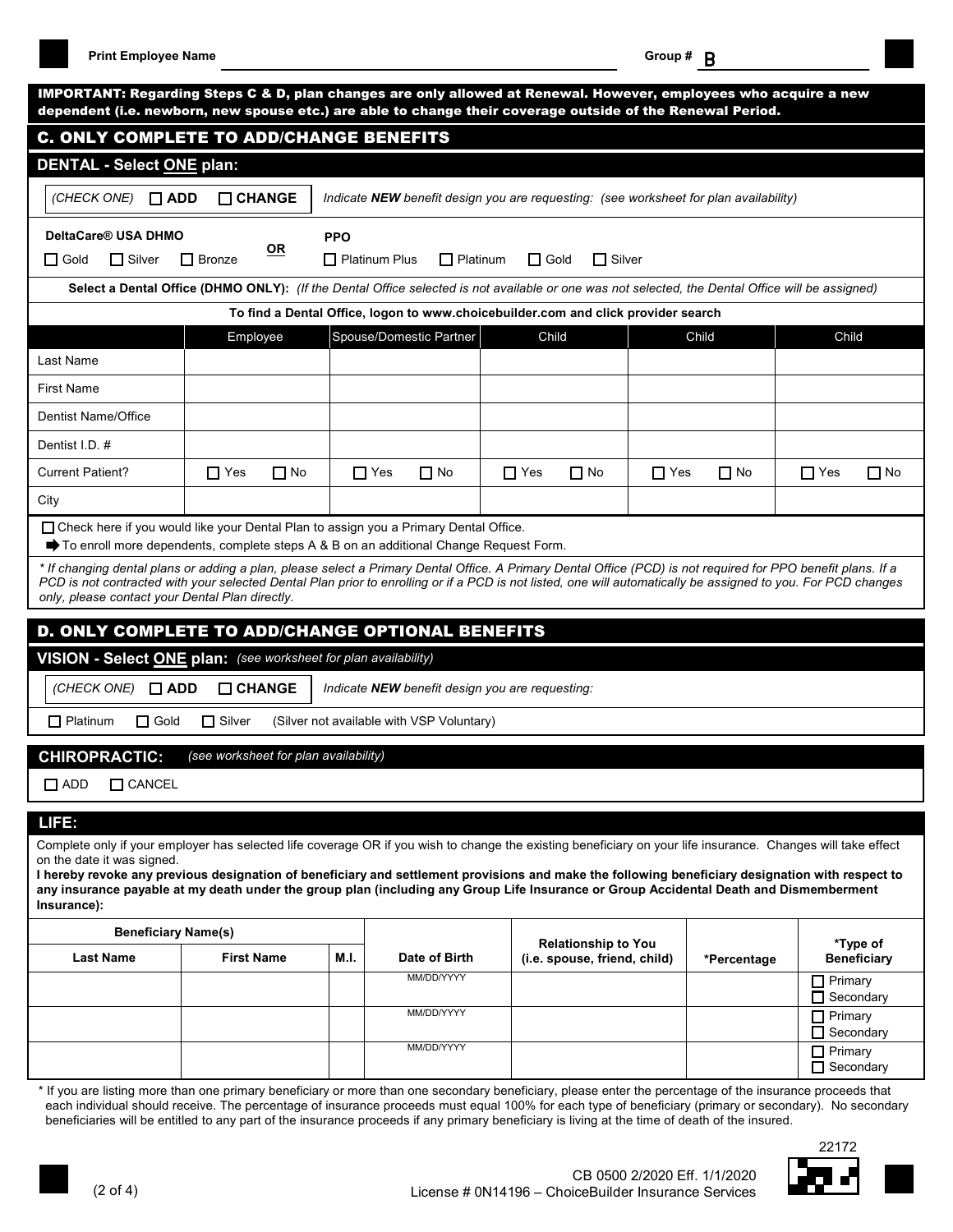**Print Employee Name Group #** B

|                                                                                                                                                                                                                                                                                                                                                                                                                                                                                                                             |                                                                                                                                                                                                                                                                                                                                                                                                                                                                                                   |                      |                                           |                                                        | dependent (i.e. newborn, new spouse etc.) are able to change their coverage outside of the Renewal Period. |             |                                                   |
|-----------------------------------------------------------------------------------------------------------------------------------------------------------------------------------------------------------------------------------------------------------------------------------------------------------------------------------------------------------------------------------------------------------------------------------------------------------------------------------------------------------------------------|---------------------------------------------------------------------------------------------------------------------------------------------------------------------------------------------------------------------------------------------------------------------------------------------------------------------------------------------------------------------------------------------------------------------------------------------------------------------------------------------------|----------------------|-------------------------------------------|--------------------------------------------------------|------------------------------------------------------------------------------------------------------------|-------------|---------------------------------------------------|
| <b>C. ONLY COMPLETE TO ADD/CHANGE BENEFITS</b>                                                                                                                                                                                                                                                                                                                                                                                                                                                                              |                                                                                                                                                                                                                                                                                                                                                                                                                                                                                                   |                      |                                           |                                                        |                                                                                                            |             |                                                   |
| <b>DENTAL - Select ONE plan:</b>                                                                                                                                                                                                                                                                                                                                                                                                                                                                                            |                                                                                                                                                                                                                                                                                                                                                                                                                                                                                                   |                      |                                           |                                                        |                                                                                                            |             |                                                   |
| (CHECK ONE)<br>$\square$ ADD                                                                                                                                                                                                                                                                                                                                                                                                                                                                                                | $\Box$ CHANGE                                                                                                                                                                                                                                                                                                                                                                                                                                                                                     |                      |                                           |                                                        | Indicate NEW benefit design you are requesting: (see worksheet for plan availability)                      |             |                                                   |
| DeltaCare® USA DHMO                                                                                                                                                                                                                                                                                                                                                                                                                                                                                                         |                                                                                                                                                                                                                                                                                                                                                                                                                                                                                                   | <b>PPO</b>           |                                           |                                                        |                                                                                                            |             |                                                   |
| $\Box$ Silver<br>$\Box$ Gold                                                                                                                                                                                                                                                                                                                                                                                                                                                                                                | $OR$<br>$\Box$ Bronze                                                                                                                                                                                                                                                                                                                                                                                                                                                                             | $\Box$ Platinum Plus | $\Box$ Platinum                           | $\Box$ Gold                                            | $\Box$ Silver                                                                                              |             |                                                   |
|                                                                                                                                                                                                                                                                                                                                                                                                                                                                                                                             | Select a Dental Office (DHMO ONLY): (If the Dental Office selected is not available or one was not selected, the Dental Office will be assigned)                                                                                                                                                                                                                                                                                                                                                  |                      |                                           |                                                        |                                                                                                            |             |                                                   |
|                                                                                                                                                                                                                                                                                                                                                                                                                                                                                                                             |                                                                                                                                                                                                                                                                                                                                                                                                                                                                                                   |                      |                                           |                                                        | To find a Dental Office, logon to www.choicebuilder.com and click provider search                          |             |                                                   |
|                                                                                                                                                                                                                                                                                                                                                                                                                                                                                                                             | Employee                                                                                                                                                                                                                                                                                                                                                                                                                                                                                          |                      | Spouse/Domestic Partner                   | Child                                                  |                                                                                                            | Child       | Child                                             |
| Last Name                                                                                                                                                                                                                                                                                                                                                                                                                                                                                                                   |                                                                                                                                                                                                                                                                                                                                                                                                                                                                                                   |                      |                                           |                                                        |                                                                                                            |             |                                                   |
| <b>First Name</b>                                                                                                                                                                                                                                                                                                                                                                                                                                                                                                           |                                                                                                                                                                                                                                                                                                                                                                                                                                                                                                   |                      |                                           |                                                        |                                                                                                            |             |                                                   |
| <b>Dentist Name/Office</b>                                                                                                                                                                                                                                                                                                                                                                                                                                                                                                  |                                                                                                                                                                                                                                                                                                                                                                                                                                                                                                   |                      |                                           |                                                        |                                                                                                            |             |                                                   |
| Dentist I.D. #                                                                                                                                                                                                                                                                                                                                                                                                                                                                                                              |                                                                                                                                                                                                                                                                                                                                                                                                                                                                                                   |                      |                                           |                                                        |                                                                                                            |             |                                                   |
| <b>Current Patient?</b>                                                                                                                                                                                                                                                                                                                                                                                                                                                                                                     | $\Box$ Yes<br>$\Box$ No                                                                                                                                                                                                                                                                                                                                                                                                                                                                           | $\Box$ Yes           | $\Box$ No                                 | $\Box$ Yes                                             | $\Box$ No<br>$\Box$ Yes                                                                                    | $\Box$ No   | $\Box$ Yes<br>$\Box$ No                           |
| City                                                                                                                                                                                                                                                                                                                                                                                                                                                                                                                        |                                                                                                                                                                                                                                                                                                                                                                                                                                                                                                   |                      |                                           |                                                        |                                                                                                            |             |                                                   |
| only, please contact your Dental Plan directly.                                                                                                                                                                                                                                                                                                                                                                                                                                                                             | $\blacktriangleright$ To enroll more dependents, complete steps A & B on an additional Change Request Form.<br>* If changing dental plans or adding a plan, please select a Primary Dental Office. A Primary Dental Office (PCD) is not required for PPO benefit plans. If a<br>PCD is not contracted with your selected Dental Plan prior to enrolling or if a PCD is not listed, one will automatically be assigned to you. For PCD changes<br>D. ONLY COMPLETE TO ADD/CHANGE OPTIONAL BENEFITS |                      |                                           |                                                        |                                                                                                            |             |                                                   |
|                                                                                                                                                                                                                                                                                                                                                                                                                                                                                                                             | VISION - Select ONE plan: (see worksheet for plan availability)                                                                                                                                                                                                                                                                                                                                                                                                                                   |                      |                                           |                                                        |                                                                                                            |             |                                                   |
| (CHECK ONE)<br>$\Box$ ADD                                                                                                                                                                                                                                                                                                                                                                                                                                                                                                   | $\Box$ CHANGE                                                                                                                                                                                                                                                                                                                                                                                                                                                                                     |                      |                                           | Indicate <b>NEW</b> benefit design you are requesting: |                                                                                                            |             |                                                   |
| $\Box$ Platinum<br>$\Box$ Gold                                                                                                                                                                                                                                                                                                                                                                                                                                                                                              | $\Box$ Silver                                                                                                                                                                                                                                                                                                                                                                                                                                                                                     |                      | (Silver not available with VSP Voluntary) |                                                        |                                                                                                            |             |                                                   |
| <b>CHIROPRACTIC:</b>                                                                                                                                                                                                                                                                                                                                                                                                                                                                                                        | (see worksheet for plan availability)                                                                                                                                                                                                                                                                                                                                                                                                                                                             |                      |                                           |                                                        |                                                                                                            |             |                                                   |
| $\Box$ CANCEL<br>$\Box$ ADD                                                                                                                                                                                                                                                                                                                                                                                                                                                                                                 |                                                                                                                                                                                                                                                                                                                                                                                                                                                                                                   |                      |                                           |                                                        |                                                                                                            |             |                                                   |
|                                                                                                                                                                                                                                                                                                                                                                                                                                                                                                                             |                                                                                                                                                                                                                                                                                                                                                                                                                                                                                                   |                      |                                           |                                                        |                                                                                                            |             |                                                   |
| LIFE:                                                                                                                                                                                                                                                                                                                                                                                                                                                                                                                       |                                                                                                                                                                                                                                                                                                                                                                                                                                                                                                   |                      |                                           |                                                        |                                                                                                            |             |                                                   |
|                                                                                                                                                                                                                                                                                                                                                                                                                                                                                                                             |                                                                                                                                                                                                                                                                                                                                                                                                                                                                                                   |                      |                                           |                                                        |                                                                                                            |             |                                                   |
|                                                                                                                                                                                                                                                                                                                                                                                                                                                                                                                             |                                                                                                                                                                                                                                                                                                                                                                                                                                                                                                   |                      |                                           |                                                        |                                                                                                            |             |                                                   |
| <b>Beneficiary Name(s)</b>                                                                                                                                                                                                                                                                                                                                                                                                                                                                                                  |                                                                                                                                                                                                                                                                                                                                                                                                                                                                                                   |                      |                                           |                                                        |                                                                                                            |             |                                                   |
| Complete only if your employer has selected life coverage OR if you wish to change the existing beneficiary on your life insurance. Changes will take effect<br>on the date it was signed.<br>I hereby revoke any previous designation of beneficiary and settlement provisions and make the following beneficiary designation with respect to<br>any insurance payable at my death under the group plan (including any Group Life Insurance or Group Accidental Death and Dismemberment<br>Insurance):<br><b>Last Name</b> | <b>First Name</b>                                                                                                                                                                                                                                                                                                                                                                                                                                                                                 | M.I.                 | Date of Birth                             |                                                        | <b>Relationship to You</b><br>(i.e. spouse, friend, child)                                                 | *Percentage | *Type of<br><b>Beneficiary</b>                    |
|                                                                                                                                                                                                                                                                                                                                                                                                                                                                                                                             |                                                                                                                                                                                                                                                                                                                                                                                                                                                                                                   |                      | MM/DD/YYYY                                |                                                        |                                                                                                            |             | $\Box$ Primary                                    |
|                                                                                                                                                                                                                                                                                                                                                                                                                                                                                                                             |                                                                                                                                                                                                                                                                                                                                                                                                                                                                                                   |                      | MM/DD/YYYY                                |                                                        |                                                                                                            |             | □ Secondary<br>$\Box$ Primary<br>$\Box$ Secondary |

beneficiaries will be entitled to any part of the insurance proceeds if any primary beneficiary is living at the time of death of the insured.

22172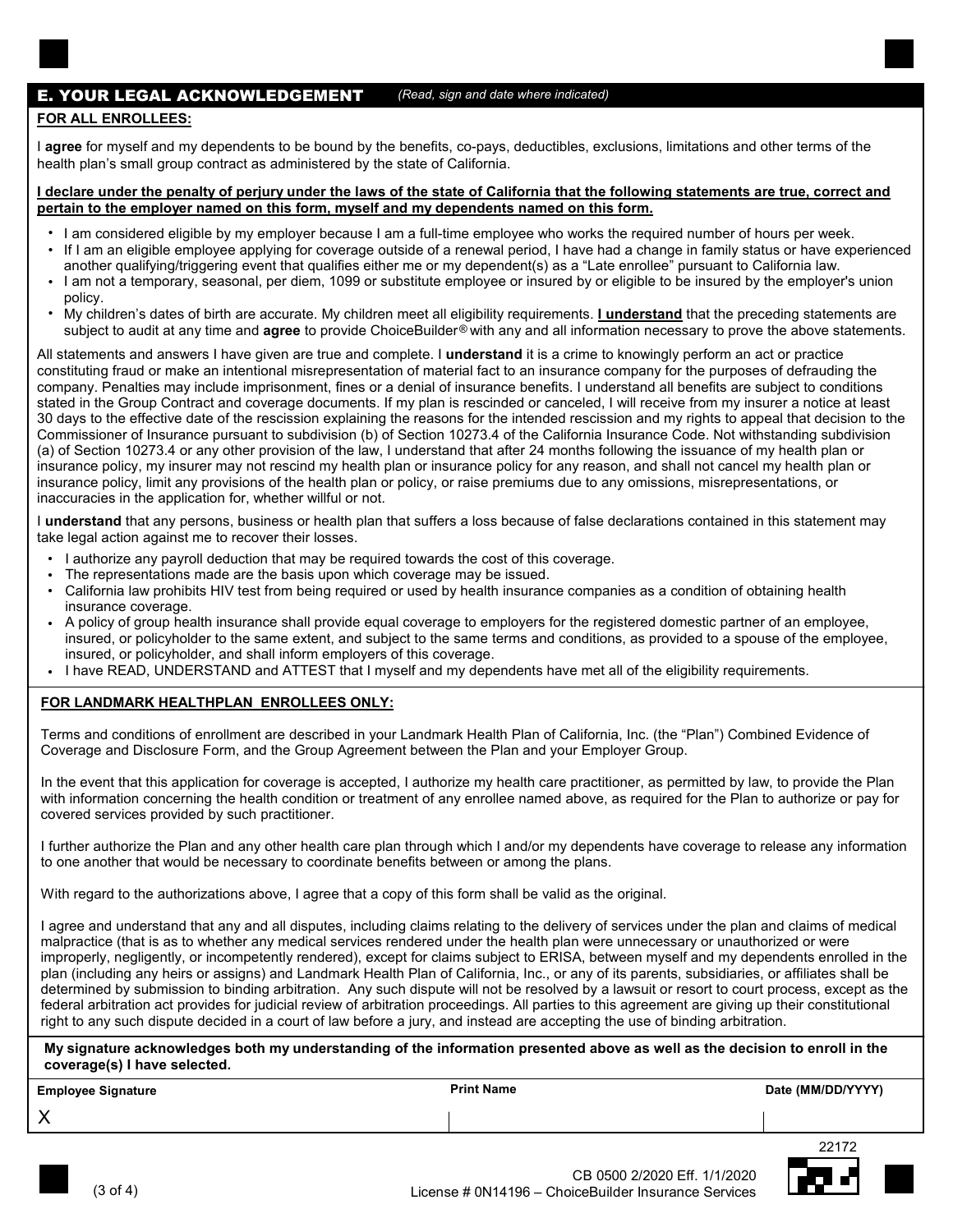## E. YOUR LEGAL ACKNOWLEDGEMENT

#### **FOR ALL ENROLLEES:**

I **agree** for myself and my dependents to be bound by the benefits, co-pays, deductibles, exclusions, limitations and other terms of the health plan's small group contract as administered by the state of California.

#### **I declare under the penalty of perjury under the laws of the state of California that the following statements are true, correct and pertain to the employer named on this form, myself and my dependents named on this form.**

• I am considered eligible by my employer because I am a full-time employee who works the required number of hours per week.

*(Read, sign and date where indicated)*

- If I am an eligible employee applying for coverage outside of a renewal period, I have had a change in family status or have experienced another qualifying/triggering event that qualifies either me or my dependent(s) as a "Late enrollee" pursuant to California law.
- I am not a temporary, seasonal, per diem, 1099 or substitute employee or insured by or eligible to be insured by the employer's union policy. •
- My children's dates of birth are accurate. My children meet all eligibility requirements. **I understand** that the preceding statements are subject to audit at any time and **agree** to provide ChoiceBuilder® with any and all information necessary to prove the above statements. •

All statements and answers I have given are true and complete. I **understand** it is a crime to knowingly perform an act or practice constituting fraud or make an intentional misrepresentation of material fact to an insurance company for the purposes of defrauding the company. Penalties may include imprisonment, fines or a denial of insurance benefits. I understand all benefits are subject to conditions stated in the Group Contract and coverage documents. If my plan is rescinded or canceled, I will receive from my insurer a notice at least 30 days to the effective date of the rescission explaining the reasons for the intended rescission and my rights to appeal that decision to the Commissioner of Insurance pursuant to subdivision (b) of Section 10273.4 of the California Insurance Code. Not withstanding subdivision (a) of Section 10273.4 or any other provision of the law, I understand that after 24 months following the issuance of my health plan or insurance policy, my insurer may not rescind my health plan or insurance policy for any reason, and shall not cancel my health plan or insurance policy, limit any provisions of the health plan or policy, or raise premiums due to any omissions, misrepresentations, or inaccuracies in the application for, whether willful or not.

I **understand** that any persons, business or health plan that suffers a loss because of false declarations contained in this statement may take legal action against me to recover their losses.

- I authorize any payroll deduction that may be required towards the cost of this coverage. •
- The representations made are the basis upon which coverage may be issued. •
- California law prohibits HIV test from being required or used by health insurance companies as a condition of obtaining health insurance coverage. •
- A policy of group health insurance shall provide equal coverage to employers for the registered domestic partner of an employee, insured, or policyholder to the same extent, and subject to the same terms and conditions, as provided to a spouse of the employee, insured, or policyholder, and shall inform employers of this coverage. •
- I have READ, UNDERSTAND and ATTEST that I myself and my dependents have met all of the eligibility requirements.

### **FOR LANDMARK HEALTHPLAN ENROLLEES ONLY:**

Terms and conditions of enrollment are described in your Landmark Health Plan of California, Inc. (the "Plan") Combined Evidence of Coverage and Disclosure Form, and the Group Agreement between the Plan and your Employer Group.

In the event that this application for coverage is accepted, I authorize my health care practitioner, as permitted by law, to provide the Plan with information concerning the health condition or treatment of any enrollee named above, as required for the Plan to authorize or pay for covered services provided by such practitioner.

I further authorize the Plan and any other health care plan through which I and/or my dependents have coverage to release any information to one another that would be necessary to coordinate benefits between or among the plans.

With regard to the authorizations above, I agree that a copy of this form shall be valid as the original.

I agree and understand that any and all disputes, including claims relating to the delivery of services under the plan and claims of medical malpractice (that is as to whether any medical services rendered under the health plan were unnecessary or unauthorized or were improperly, negligently, or incompetently rendered), except for claims subject to ERISA, between myself and my dependents enrolled in the plan (including any heirs or assigns) and Landmark Health Plan of California, Inc., or any of its parents, subsidiaries, or affiliates shall be determined by submission to binding arbitration. Any such dispute will not be resolved by a lawsuit or resort to court process, except as the federal arbitration act provides for judicial review of arbitration proceedings. All parties to this agreement are giving up their constitutional right to any such dispute decided in a court of law before a jury, and instead are accepting the use of binding arbitration.

**My signature acknowledges both my understanding of the information presented above as well as the decision to enroll in the coverage(s) I have selected.**

| <b>Employee Signature</b> | Print Name | Date (MM/DD/YYYY) |
|---------------------------|------------|-------------------|
|---------------------------|------------|-------------------|

X